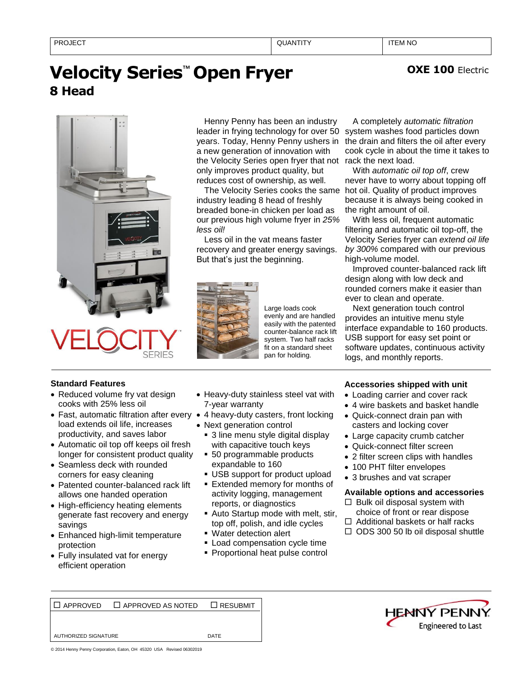# **Velocity Series**™ **Open Fryer OXE 100** Electric **8 Head**



**Standard Features**

- Reduced volume fry vat design cooks with 25% less oil
- Fast, automatic filtration after every 4 heavy-duty casters, front locking load extends oil life, increases productivity, and saves labor
- Automatic oil top off keeps oil fresh longer for consistent product quality
- Seamless deck with rounded corners for easy cleaning
- Patented counter-balanced rack lift allows one handed operation
- High-efficiency heating elements generate fast recovery and energy savings
- Enhanced high-limit temperature protection
- Fully insulated vat for energy efficient operation

Henny Penny has been an industry leader in frying technology for over 50 system washes food particles down a new generation of innovation with the Velocity Series open fryer that not rack the next load. only improves product quality, but reduces cost of ownership, as well.

The Velocity Series cooks the same hot oil. Quality of product improves industry leading 8 head of freshly breaded bone-in chicken per load as our previous high volume fryer in *25% less oil!*

Less oil in the vat means faster recovery and greater energy savings. But that's just the beginning.

• Heavy-duty stainless steel vat with

■ 3 line menu style digital display with capacitive touch keys ■ 50 programmable products expandable to 160

**■ USB support for product upload Extended memory for months of** activity logging, management reports, or diagnostics

■ Auto Startup mode with melt, stir, top off, polish, and idle cycles

■ Load compensation cycle time ■ Proportional heat pulse control



7-year warranty

• Next generation control

▪ Water detection alert

Large loads cook evenly and are handled easily with the patented counter-balance rack lift system. Two half racks fit on a standard sheet pan for holding.

years. Today, Henny Penny ushers in the drain and filters the oil after every A completely *automatic filtration* cook cycle in about the time it takes to

With *automatic oil top off*, crew never have to worry about topping off because it is always being cooked in the right amount of oil.

With less oil, frequent automatic filtering and automatic oil top-off, the Velocity Series fryer can *extend oil life by 300%* compared with our previous high-volume model.

Improved counter-balanced rack lift design along with low deck and rounded corners make it easier than ever to clean and operate.

Next generation touch control provides an intuitive menu style interface expandable to 160 products. USB support for easy set point or software updates, continuous activity logs, and monthly reports.

## **Accessories shipped with unit**

- Loading carrier and cover rack
- 4 wire baskets and basket handle • Quick-connect drain pan with
- casters and locking cover
- Large capacity crumb catcher
- Quick-connect filter screen
- 2 filter screen clips with handles
- 100 PHT filter envelopes
- 3 brushes and vat scraper

**Available options and accessories**  $\Box$  Bulk oil disposal system with

- choice of front or rear dispose
- $\Box$  Additional baskets or half racks
- $\Box$  ODS 300 50 lb oil disposal shuttle

 $\Box$  APPROVED  $\Box$  APPROVED AS NOTED  $\Box$  RESUBMIT

AUTHORIZED SIGNATURE **Example 20 and 20 and 20 and 20 and 20 and 20 and 20 and 20 and 20 and 20 and 20 and 20 and 20 and 20 and 20 and 20 and 20 and 20 and 20 and 20 and 20 and 20 and 20 and 20 and 20 and 20 and 20 and 20** 



© 2014 Henny Penny Corporation, Eaton, OH 45320 USA Revised 06302019